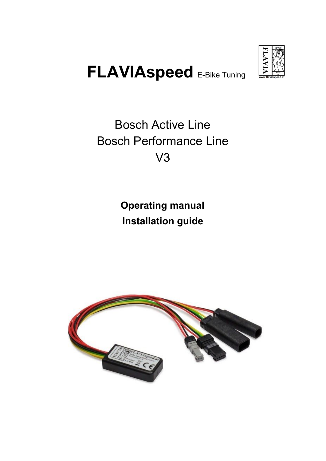

# **FLAVIAspeed** E-Bike Tuning

# Bosch Active Line Bosch Performance Line V3

# **Operating manual Installation guide**

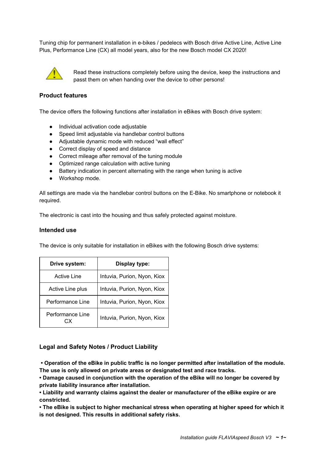Tuning chip for permanent installation in e-bikes / pedelecs with Bosch drive Active Line, Active Line Plus, Performance Line (CX) all model years, also for the new Bosch model CX 2020!



Read these instructions completely before using the device, keep the instructions and passt them on when handing over the device to other persons!

#### **Product features**

The device offers the following functions after installation in eBikes with Bosch drive system:

- Individual activation code adjustable
- Speed limit adjustable via handlebar control buttons
- Adjustable dynamic mode with reduced "wall effect"
- Correct display of speed and distance
- Correct mileage after removal of the tuning module
- Optimized range calculation with active tuning
- Battery indication in percent alternating with the range when tuning is active
- Workshop mode.

All settings are made via the handlebar control buttons on the E-Bike. No smartphone or notebook it required.

The electronic is cast into the housing and thus safely protected against moisture.

#### **Intended use**

The device is only suitable for installation in eBikes with the following Bosch drive systems:

| Drive system:           | Display type:               |
|-------------------------|-----------------------------|
| <b>Active Line</b>      | Intuvia, Purion, Nyon, Kiox |
| Active Line plus        | Intuvia, Purion, Nyon, Kiox |
| Performance Line        | Intuvia, Purion, Nyon, Kiox |
| Performance Line<br>r.x | Intuvia, Purion, Nyon, Kiox |

#### **Legal and Safety Notes / Product Liability**

**• Operation of the eBike in public traffic is no longer permitted after installation of the module. The use is only allowed on private areas or designated test and race tracks.**

**• Damage caused in conjunction with the operation of the eBike will no longer be covered by private liability insurance after installation.**

**• Liability and warranty claims against the dealer or manufacturer of the eBike expire or are constricted.**

**• The eBike is subject to higher mechanical stress when operating at higher speed for which it is not designed. This results in additional safety risks.**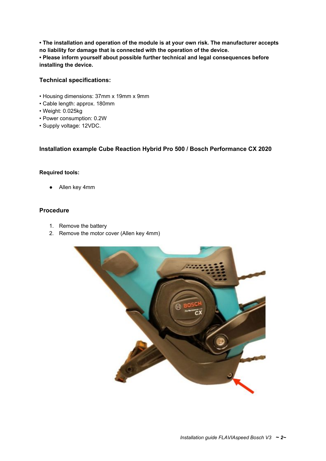**• The installation and operation of the module is at your own risk. The manufacturer accepts no liability for damage that is connected with the operation of the device. • Please inform yourself about possible further technical and legal consequences before installing the device.**

# **Technical specifications:**

- Housing dimensions: 37mm x 19mm x 9mm
- Cable length: approx. 180mm
- Weight: 0.025kg
- Power consumption: 0.2W
- Supply voltage: 12VDC.

# **Installation example Cube Reaction Hybrid Pro 500 / Bosch Performance CX 2020**

#### **Required tools:**

Allen key 4mm

# **Procedure**

- 1. Remove the battery
- 2. Remove the motor cover (Allen key 4mm)

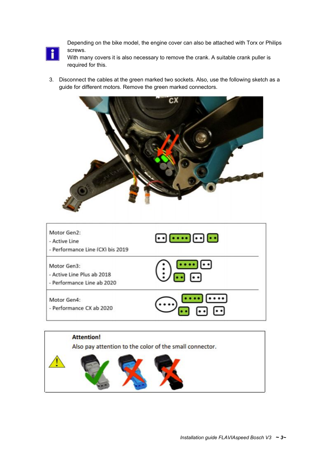

Depending on the bike model, the engine cover can also be attached with Torx or Philips screws.

With many covers it is also necessary to remove the crank. A suitable crank puller is required for this.

3. Disconnect the cables at the green marked two sockets. Also, use the following sketch as a guide for different motors. Remove the green marked connectors.



| Motor Gen2:<br>- Active Line<br>- Performance Line (CX) bis 2019        | $\lceil \cdot \cdot \rceil \lceil \cdot \cdot \cdot \rceil \lceil \cdot \cdot \rceil$ |
|-------------------------------------------------------------------------|---------------------------------------------------------------------------------------|
| Motor Gen3:<br>- Active Line Plus ab 2018<br>- Performance Line ab 2020 | ŀ٠                                                                                    |
| Motor Gen4:<br>- Performance CX ab 2020                                 | $\left\vert \cdot\right\rangle$                                                       |

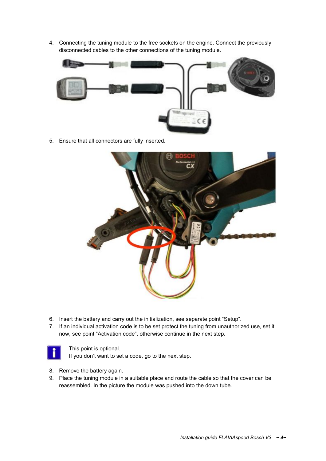4. Connecting the tuning module to the free sockets on the engine. Connect the previously disconnected cables to the other connections of the tuning module.



5. Ensure that all connectors are fully inserted.



- 6. Insert the battery and carry out the initialization, see separate point "Setup".
- 7. If an individual activation code is to be set protect the tuning from unauthorized use, set it now, see point "Activation code", otherwise continue in the next step.



This point is optional.

If you don't want to set a code, go to the next step.

- 8. Remove the battery again.
- 9. Place the tuning module in a suitable place and route the cable so that the cover can be reassembled. In the picture the module was pushed into the down tube.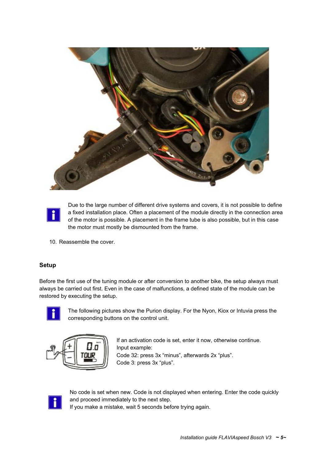



Due to the large number of different drive systems and covers, it is not possible to define a fixed installation place. Often a placement of the module directly in the connection area of the motor is possible. A placement in the frame tube is also possible, but in this case the motor must mostly be dismounted from the frame.

10. Reassemble the cover.

# **Setup**

Before the first use of the tuning module or after conversion to another bike, the setup always must always be carried out first. Even in the case of malfunctions, a defined state of the module can be restored by executing the setup.



The following pictures show the Purion display. For the Nyon, Kiox or Intuvia press the corresponding buttons on the control unit.



If an activation code is set, enter it now, otherwise continue. Input example: Code 32: press 3x "minus", afterwards 2x "plus". Code 3: press 3x "plus".



No code is set when new. Code is not displayed when entering. Enter the code quickly and proceed immediately to the next step.

If you make a mistake, wait 5 seconds before trying again.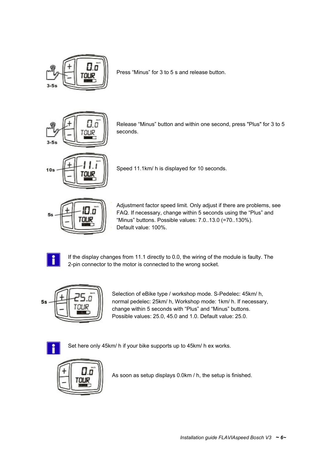

Press "Minus" for 3 to 5 s and release button.



Release "Minus" button and within one second, press "Plus" for 3 to 5 seconds.



Speed 11.1km/ h is displayed for 10 seconds.



Adjustment factor speed limit. Only adjust if there are problems, see FAQ. If necessary, change within 5 seconds using the "Plus" and "Minus" buttons. Possible values: 7.0..13.0 (=70..130%). Default value: 100%.



If the display changes from 11.1 directly to 0.0, the wiring of the module is faulty. The 2-pin connector to the motor is connected to the wrong socket.



Selection of eBike type / workshop mode. S-Pedelec: 45km/ h, normal pedelec: 25km/ h, Workshop mode: 1km/ h. If necessary, change within 5 seconds with "Plus" and "Minus" buttons. Possible values: 25.0, 45.0 and 1.0. Default value: 25.0.



Set here only 45km/ h if your bike supports up to 45km/ h ex works.



As soon as setup displays 0.0km / h, the setup is finished.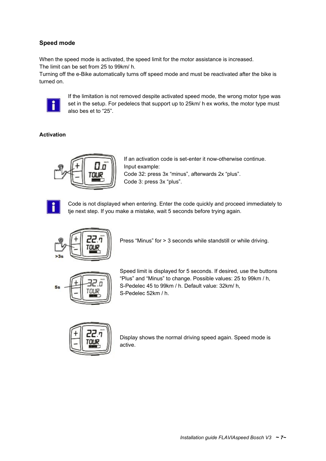# **Speed mode**

When the speed mode is activated, the speed limit for the motor assistance is increased. The limit can be set from 25 to 99km/ h.

Turning off the e-Bike automatically turns off speed mode and must be reactivated after the bike is turned on.



If the limitation is not removed despite activated speed mode, the wrong motor type was set in the setup. For pedelecs that support up to 25km/ h ex works, the motor type must also bes et to "25".

# **Activation**



If an activation code is set-enter it now-otherwise continue. Input example: Code 32: press 3x "minus", afterwards 2x "plus". Code 3: press 3x "plus".



Code is not displayed when entering. Enter the code quickly and proceed immediately to tje next step. If you make a mistake, wait 5 seconds before trying again.



Press "Minus" for > 3 seconds while standstill or while driving.



Speed limit is displayed for 5 seconds. If desired, use the buttons "Plus" and "Minus" to change. Possible values: 25 to 99km / h, S-Pedelec 45 to 99km / h. Default value: 32km/ h, S-Pedelec 52km / h.



Display shows the normal driving speed again. Speed mode is active.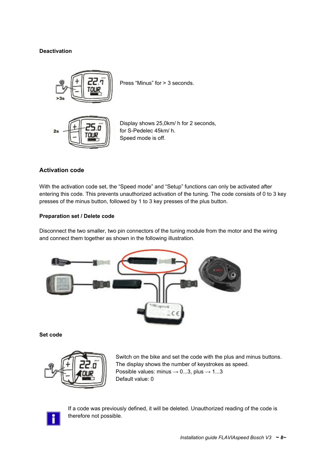#### **Deactivation**



Press "Minus" for > 3 seconds.



Display shows 25,0km/ h for 2 seconds, for S-Pedelec 45km/ h. Speed mode is off.

#### **Activation code**

With the activation code set, the "Speed mode" and "Setup" functions can only be activated after entering this code. This prevents unauthorized activation of the tuning. The code consists of 0 to 3 key presses of the minus button, followed by 1 to 3 key presses of the plus button.

#### **Preparation set / Delete code**

Disconnect the two smaller, two pin connectors of the tuning module from the motor and the wiring and connect them together as shown in the following illustration.



**Set code**



Switch on the bike and set the code with the plus and minus buttons. The display shows the number of keystrokes as speed. Possible values: minus  $\rightarrow$  0...3, plus  $\rightarrow$  1...3 Default value: 0



If a code was previously defined, it will be deleted. Unauthorized reading of the code is therefore not possible.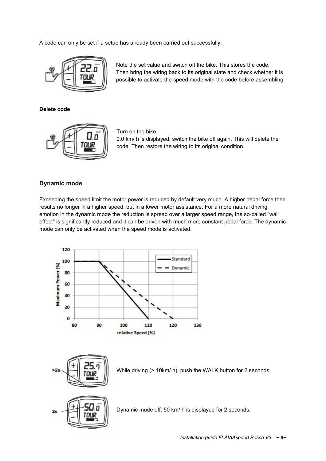A code can only be set if a setup has already been carried out successfully.



Note the set value and switch off the bike. This stores the code. Then bring the wiring back to its original state and check whether it is possible to activate the speed mode with the code before assembling.

**Delete code**



Turn on the bike.

0.0 km/ h is displayed. switch the bike off again. This will delete the code. Then restore the wiring to its original condition.

#### **Dynamic mode**

Exceeding the speed limit the motor power is reduced by default very much. A higher pedal force then results no longer in a higher speed, but in a lower motor assistance. For a more natural driving emotion in the dynamic mode the reduction is spread over a larger speed range, the so-called "wall effect" is significantly reduced and it can be driven with much more constant pedal force. The dynamic mode can only be activated when the speed mode is activated.





While driving (> 10km/ h), push the WALK button for 2 seconds.



Dynamic mode off: 50 km/ h is displayed for 2 seconds.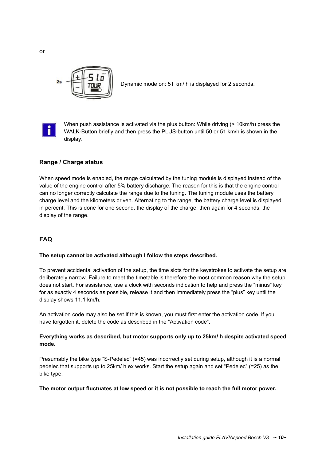

Dynamic mode on: 51 km/ h is displayed for 2 seconds.



When push assistance is activated via the plus button: While driving (> 10km/h) press the WALK-Button briefly and then press the PLUS-button until 50 or 51 km/h is shown in the display.

# **Range / Charge status**

When speed mode is enabled, the range calculated by the tuning module is displayed instead of the value of the engine control after 5% battery discharge. The reason for this is that the engine control can no longer correctly calculate the range due to the tuning. The tuning module uses the battery charge level and the kilometers driven. Alternating to the range, the battery charge level is displayed in percent. This is done for one second, the display of the charge, then again for 4 seconds, the display of the range.

# **FAQ**

#### **The setup cannot be activated although I follow the steps described.**

To prevent accidental activation of the setup, the time slots for the keystrokes to activate the setup are deliberately narrow. Failure to meet the timetable is therefore the most common reason why the setup does not start. For assistance, use a clock with seconds indication to help and press the "minus" key for as exactly 4 seconds as possible, release it and then immediately press the "plus" key until the display shows 11.1 km/h.

An activation code may also be set.If this is known, you must first enter the activation code. If you have forgotten it, delete the code as described in the "Activation code".

# **Everything works as described, but motor supports only up to 25km/ h despite activated speed mode.**

Presumably the bike type "S-Pedelec" (=45) was incorrectly set during setup, although it is a normal pedelec that supports up to 25km/ h ex works. Start the setup again and set "Pedelec" (=25) as the bike type.

#### **The motor output fluctuates at low speed or it is not possible to reach the full motor power.**

or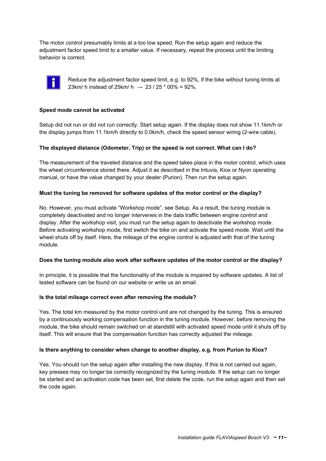The motor control presumably limits at a too low speed. Run the setup again and reduce the adjustment factor speed limit to a smaller value. If necessary, repeat the process until the limiting behavior is correct.



Reduce the adjustment factor speed limit, e.g. to 92%, if the bike without tuning limits at 23km/ h instead of 25km/ h  $\rightarrow$  23 / 25  $*$  00% = 92%.

#### **Speed mode cannot be activated**

Setup did not run or did not run correctly. Start setup again. If the display does not show 11.1km/h or the display jumps from 11.1km/h directly to 0.0km/h, check the speed sensor wiring (2-wire cable).

#### **The displayed distance (Odometer, Trip) or the speed is not correct. What can I do?**

The measurement of the traveled distance and the speed takes place in the motor control, which uses the wheel circumference stored there. Adjust it as described in the Intuvia, Kiox or Nyon operating manual, or have the value changed by your dealer (Purion). Then run the setup again.

#### **Must the tuning be removed for software updates of the motor control or the display?**

No. However, you must activate "Workshop mode", see Setup. As a result, the tuning module is completely deactivated and no longer intervenes in the data traffic between engine control and display. After the workshop visit, you must run the setup again to deactivate the workshop mode. Before activating workshop mode, first switch the bike on and activate the speed mode. Wait until the wheel shuts off by itself. Here, the mileage of the engine control is adjusted with that of the tuning module.

#### **Does the tuning module also work after software updates of the motor control or the display?**

In principle, it is possible that the functionality of the module is impaired by software updates. A list of tested software can be found on our website or write us an email.

#### **Is the total mileage correct even after removing the module?**

Yes. The total km measured by the motor control unit are not changed by the tuning. This is ensured by a continuously working compensation function in the tuning module. However, before removing the module, the bike should remain switched on at standstill with activated speed mode until it shuts off by itself. This will ensure that the compensation function has correctly adjusted the mileage.

#### **Is there anything to consider when change to another display, e.g. from Purion to Kiox?**

Yes. You should run the setup again after installing the new display. If this is not carried out again, key presses may no longer be correctly recognized by the tuning module. If the setup can no longer be started and an activation code has been set, first delete the code, run the setup again and then set the code again.